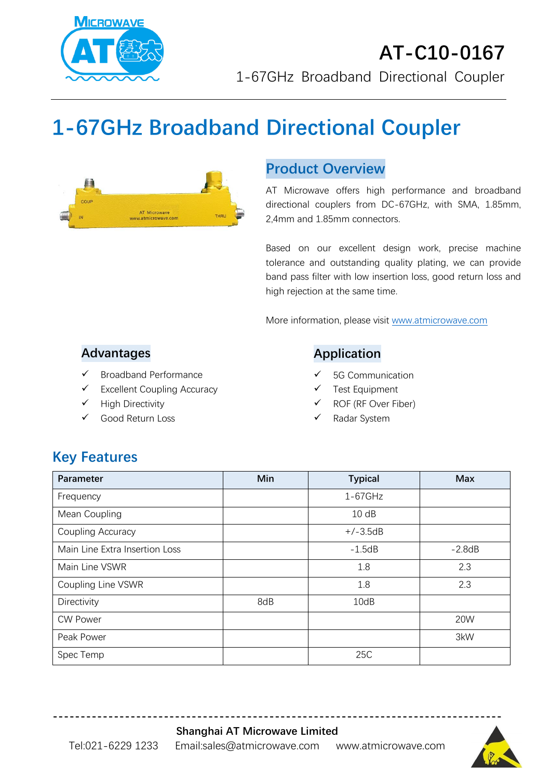

# **1-67GHz Broadband Directional Coupler**



## **Product Overview**

AT Microwave offers high performance and broadband directional couplers from DC-67GHz, with SMA, 1.85mm, 2,4mm and 1.85mm connectors.

Based on our excellent design work, precise machine tolerance and outstanding quality plating, we can provide band pass filter with low insertion loss, good return loss and high rejection at the same time.

More information, please visit [www.atmicrowave.com](http://www.atmicrowave.com/)

#### **Advantages**

- ✓ Broadband Performance
- ✓ Excellent Coupling Accuracy
- ✓ High Directivity
- Good Return Loss

### **Application**

- 5G Communication
- Test Equipment
- ROF (RF Over Fiber)
- Radar System

# **Key Features**

| Parameter                      | Min | <b>Typical</b> | <b>Max</b> |
|--------------------------------|-----|----------------|------------|
| Frequency                      |     | $1-67$ GHz     |            |
| Mean Coupling                  |     | 10dB           |            |
| Coupling Accuracy              |     | $+/-3.5dB$     |            |
| Main Line Extra Insertion Loss |     | $-1.5dB$       | $-2.8dB$   |
| Main Line VSWR                 |     | 1.8            | 2.3        |
| Coupling Line VSWR             |     | 1.8            | 2.3        |
| Directivity                    | 8dB | 10dB           |            |
| <b>CW Power</b>                |     |                | 20W        |
| Peak Power                     |     |                | 3kW        |
| Spec Temp                      |     | 25C            |            |